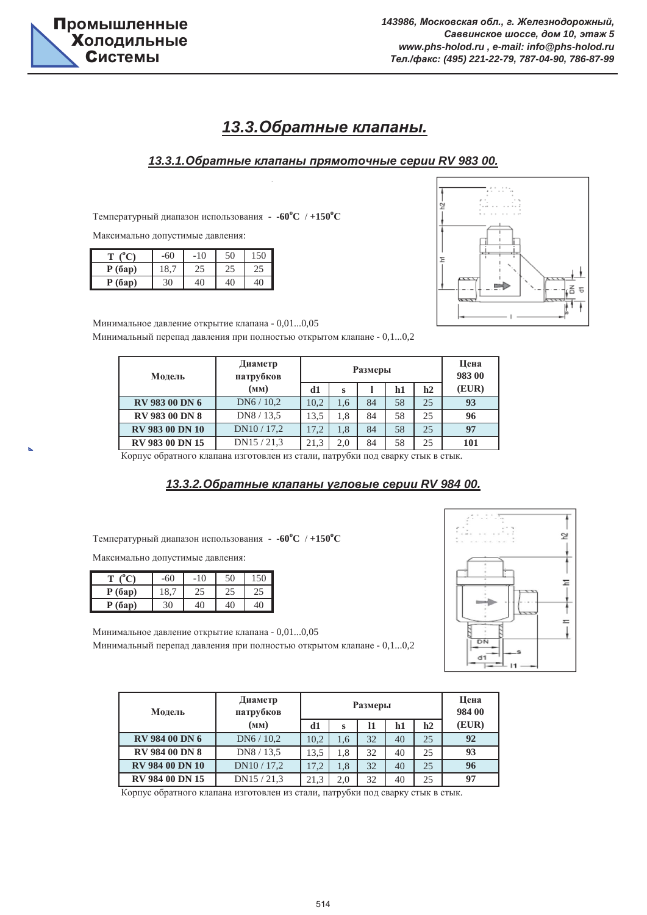

# **13.3.Обратные клапаны.**

#### *13.3.1.Ɉɛɪɚɬɧɵɟ ɤɥɚɩɚɧɵ ɩɪɹɦɨɬɨɱɧɵɟ ɫɟɪɢɢ RV 983 00.*

Температурный диапазон использования -  $\cdot 60^{\circ}$ С /  $+150^{\circ}$ С

Максимально допустимые давления:

|        | -60     | 10 |    | 50 |
|--------|---------|----|----|----|
| P(6ap) | $\circ$ | 43 | 42 | ۷. |
| P(6ap) | 30      | 10 | 10 | 40 |



Минимальный перепад давления при полностью открытом клапане - 0,1...0,2 Минимальное давление открытие клапана - 0,01...0,05

| Модель                 | Диаметр<br>патрубков | Размеры |     |    |    |    | Цена<br>983 00 |
|------------------------|----------------------|---------|-----|----|----|----|----------------|
|                        | (MM)                 | d1      | S   |    | h1 | h2 | (EUR)          |
| <b>RV 983 00 DN 6</b>  | DN6/10.2             | 10,2    | 1.6 | 84 | 58 | 25 | 93             |
| <b>RV 983 00 DN 8</b>  | DN8 / 13.5           | 13.5    | 1.8 | 84 | 58 | 25 | 96             |
| <b>RV 983 00 DN 10</b> | DN10/17,2            | 17,2    | 1,8 | 84 | 58 | 25 | 97             |
| RV 983 00 DN 15        | DN15/21,3            | 21,3    | 2.0 | 84 | 58 | 25 | 101            |

Корпус обратного клапана изготовлен из стали, патрубки под сварку стык в стык.

#### *13.3.2.Ɉɛɪɚɬɧɵɟ ɤɥɚɩɚɧɵ ɭɝɥɨɜɵɟ ɫɟɪɢɢ RV 984 00.*

Температурный диапазон использования -  $\cdot 60^{\circ}$ С /  $+150^{\circ}$ С

Максимально допустимые давления:

| m      | 60  | 10 | 50 | 50 |
|--------|-----|----|----|----|
| P(6ap) | 18, | 29 | دے | ۷. |
| P(6ap) | 30  | 10 | 40 | 40 |

Минимальный перепад давления при полностью открытом клапане - 0,1...0,2 Минимальное давление открытие клапана - 0,01...0,05



| Модель                 | Диаметр<br>патрубков | Размеры |     |    |    |    | Цена<br>984 00 |
|------------------------|----------------------|---------|-----|----|----|----|----------------|
|                        | (MM)                 | d1      | s   | 11 | h1 | h2 | (EUR)          |
| <b>RV 984 00 DN 6</b>  | DN6/10.2             | 10.2    | 1.6 | 32 | 40 | 25 | 92             |
| <b>RV 984 00 DN 8</b>  | DN8/13,5             | 13.5    | 1.8 | 32 | 40 | 25 | 93             |
| <b>RV 984 00 DN 10</b> | DN10/17,2            | 17.2    | 1.8 | 32 | 40 | 25 | 96             |
| <b>RV 984 00 DN 15</b> | DN15/21,3            | 21,3    | 2,0 | 32 | 40 | 25 | 97             |

Корпус обратного клапана изготовлен из стали, патрубки под сварку стык в стык.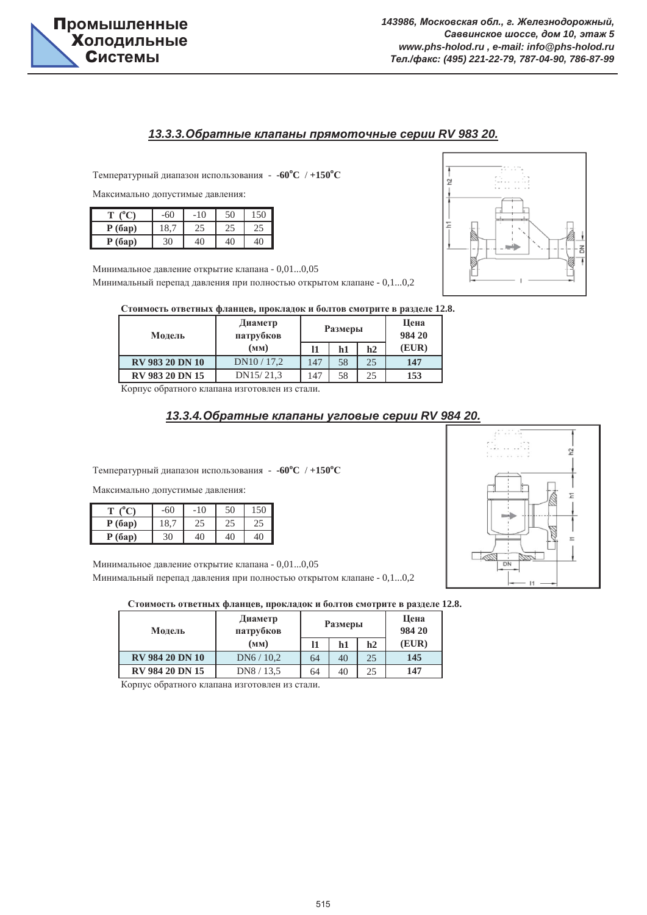

#### *13.3.3.Ɉɛɪɚɬɧɵɟ ɤɥɚɩɚɧɵ ɩɪɹɦɨɬɨɱɧɵɟ ɫɟɪɢɢ RV 983 20.*

Температурный диапазон использования -  $\cdot 60^{\circ}$ С /  $+150^{\circ}$ С

Максимально допустимые давления:

|        | 60      | 10  | 50 | 150 |
|--------|---------|-----|----|-----|
| P(6ap) | $\circ$ | ن ک | دے | ندك |
| P(6ap) | 30      | 10  | 40 | 40  |

Минимальное давление открытие клапана - 0,01...0,05

Минимальный перепад давления при полностью открытом клапане - 0,1...0,2



| Стоимость ответных фланцев, прокладок и болтов смотрите в разделе 12.8. |
|-------------------------------------------------------------------------|
|-------------------------------------------------------------------------|

| Модель                 | Диаметр<br>патрубков |     | <b>Размеры</b> | Цена<br>984 20 |       |
|------------------------|----------------------|-----|----------------|----------------|-------|
|                        | (мм)                 | 11  | h1             | h2             | (EUR) |
| RV 983 20 DN 10        | DN10/17,2            | 147 | 58             | 25             | 147   |
| <b>RV 983 20 DN 15</b> | DN15/21,3            | 147 | 58             | 25             | 153   |

Корпус обратного клапана изготовлен из стали.

#### *13.3.4.Ɉɛɪɚɬɧɵɟ ɤɥɚɩɚɧɵ ɭɝɥɨɜɵɟ ɫɟɪɢɢ RV 984 20.*

Температурный диапазон использования -  $\text{-}60^{\circ}\text{C}$  /  $\text{+}150^{\circ}\text{C}$ 

Максимально допустимые давления:

|        | $-60$ | 10             | 50 |    |
|--------|-------|----------------|----|----|
| P(6ap) | 8     | 42             | 25 | 42 |
| P(6ap) | 30    | 1 <sup>0</sup> |    |    |

Минимальный перепад давления при полностью открытом клапане - 0,1...0,2 Минимальное давление открытие клапана - 0,01...0,05

#### Стоимость ответных фланцев, прокладок и болтов смотрите в разделе 12.8.

| Модель                 | Диаметр<br>патрубков |    | <b>Размеры</b> | Цена<br>984 20 |       |
|------------------------|----------------------|----|----------------|----------------|-------|
|                        | (MM)                 | 11 | h1             | h2             | (EUR) |
| <b>RV 984 20 DN 10</b> | DN6/10,2             | 64 | 40             | 25             | 145   |
| <b>RV 984 20 DN 15</b> | DN8 / 13.5           | 64 | 40             | 25             | 147   |

Корпус обратного клапана изготовлен из стали.

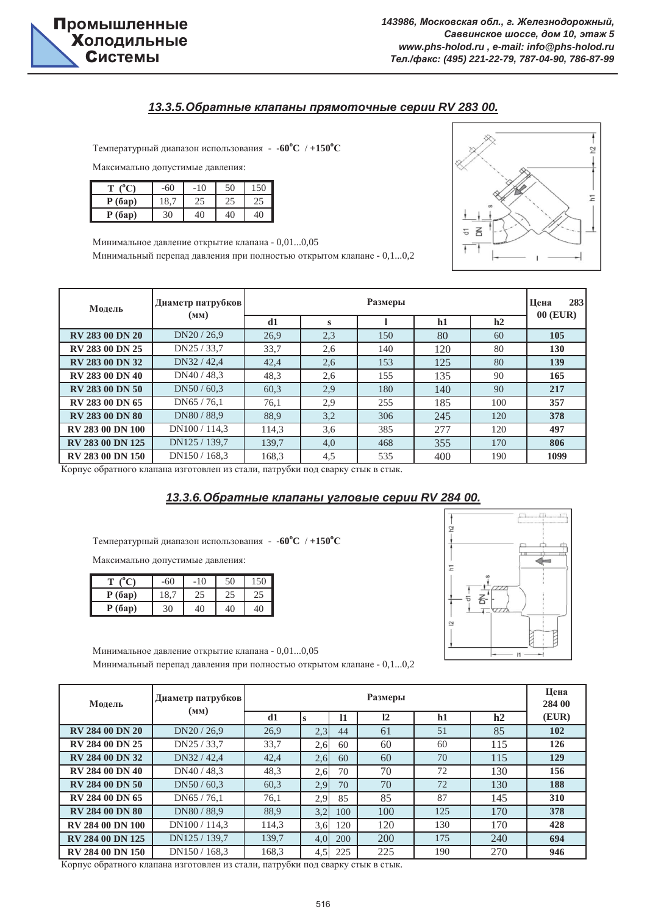

#### *13.3.5.Ɉɛɪɚɬɧɵɟ ɤɥɚɩɚɧɵ ɩɪɹɦɨɬɨɱɧɵɟ ɫɟɪɢɢ RV 283 00.*

Температурный диапазон использования -  $\text{-}60^{\circ}\text{C}$  /  $\text{+}150^{\circ}\text{C}$ 

Максимально допустимые давления:

|        | $-60$ | 10 |    |         |
|--------|-------|----|----|---------|
| P(6ap) | 18,   | 23 | ZJ | دے      |
| P(6ap) | 30    | 10 | 4በ | 10<br>◡ |

Минимальное давление открытие клапана - 0,01...0,05

Минимальный перепад давления при полностью открытом клапане - 0,1...0,2



| Молель                  | Диаметр патрубков<br>(MM) | Размеры |          |     |     |     | 283<br>Шена<br>00 (EUR) |
|-------------------------|---------------------------|---------|----------|-----|-----|-----|-------------------------|
|                         |                           | d1      | $\bf{s}$ |     | h1  | h2  |                         |
| <b>RV 283 00 DN 20</b>  | DN20 / 26.9               | 26.9    | 2.3      | 150 | 80  | 60  | 105                     |
| <b>RV 283 00 DN 25</b>  | DN25 / 33,7               | 33,7    | 2.6      | 140 | 120 | 80  | <b>130</b>              |
| <b>RV 283 00 DN 32</b>  | DN32 / 42,4               | 42,4    | 2.6      | 153 | 125 | 80  | 139                     |
| <b>RV 283 00 DN 40</b>  | DN40 / 48.3               | 48,3    | 2.6      | 155 | 135 | 90  | 165                     |
| <b>RV 283 00 DN 50</b>  | DN50/60.3                 | 60.3    | 2.9      | 180 | 140 | 90  | 217                     |
| RV 283 00 DN 65         | DN65 / 76,1               | 76,1    | 2.9      | 255 | 185 | 100 | 357                     |
| <b>RV 283 00 DN 80</b>  | DN80/88.9                 | 88.9    | 3,2      | 306 | 245 | 120 | 378                     |
| <b>RV 283 00 DN 100</b> | DN100/114.3               | 114.3   | 3.6      | 385 | 277 | 120 | 497                     |
| <b>RV 283 00 DN 125</b> | DN125 / 139,7             | 139.7   | 4.0      | 468 | 355 | 170 | 806                     |
| <b>RV 283 00 DN 150</b> | DN150 / 168.3             | 168.3   | 4,5      | 535 | 400 | 190 | 1099                    |

Корпус обратного клапана изготовлен из стали, патрубки под сварку стык в стык.

#### *13.3.6.Ɉɛɪɚɬɧɵɟ ɤɥɚɩɚɧɵ ɭɝɥɨɜɵɟ ɫɟɪɢɢ RV 284 00.*

Температурный диапазон использования -  $\cdot 60^{\circ}$ С /  $+150^{\circ}$ С

Максимально допустимые давления:

|        | -60 | 10 | 50 | 50 |
|--------|-----|----|----|----|
| P(6ap) | 18, | 25 | دے | 29 |
| P(6ap) | 30  | 40 | 40 | 40 |



Минимальный перепад давления при полностью открытом клапане - 0,1...0,2 Минимальное давление открытие клапана - 0,01...0,05

| Молель                  | Диаметр патрубков<br>(MM) |       | Размеры |     |     |     |     | Цена<br>284 00 |
|-------------------------|---------------------------|-------|---------|-----|-----|-----|-----|----------------|
|                         |                           | d1    | ls      | 11  | 12  | h1  | h2  | (EUR)          |
| <b>RV 284 00 DN 20</b>  | DN20/26.9                 | 26.9  | 2,3     | 44  | 61  | 51  | 85  | 102            |
| <b>RV 284 00 DN 25</b>  | DN25 / 33,7               | 33,7  | 2.6     | 60  | 60  | 60  | 115 | 126            |
| <b>RV 284 00 DN 32</b>  | DN32 / 42,4               | 42,4  | 2,6     | 60  | 60  | 70  | 115 | 129            |
| <b>RV 284 00 DN 40</b>  | DN40/48.3                 | 48,3  | 2.6     | 70  | 70  | 72  | 130 | 156            |
| <b>RV 284 00 DN 50</b>  | DN50/60.3                 | 60.3  | 2.9     | 70  | 70  | 72  | 130 | 188            |
| RV 284 00 DN 65         | DN65 / 76.1               | 76.1  | 2.9     | 85  | 85  | 87  | 145 | 310            |
| <b>RV 284 00 DN 80</b>  | DN80/88.9                 | 88,9  | 3,2     | 100 | 100 | 125 | 170 | 378            |
| <b>RV 284 00 DN 100</b> | DN100 / 114,3             | 114,3 | 3,6     | 120 | 120 | 130 | 170 | 428            |
| <b>RV 284 00 DN 125</b> | DN125 / 139.7             | 139.7 | 4,0     | 200 | 200 | 175 | 240 | 694            |
| <b>RV 284 00 DN 150</b> | DN150 / 168.3             | 168.3 | 4,5     | 225 | 225 | 190 | 270 | 946            |

Корпус обратного клапана изготовлен из стали, патрубки под сварку стык в стык.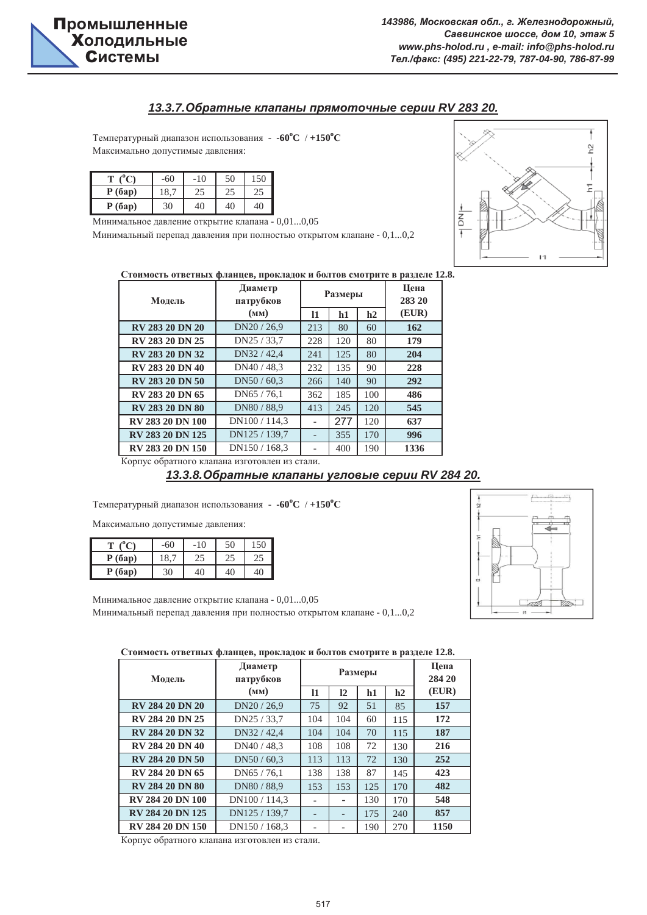#### *13.3.7.Ɉɛɪɚɬɧɵɟ ɤɥɚɩɚɧɵ ɩɪɹɦɨɬɨɱɧɵɟ ɫɟɪɢɢ RV 283 20.*

Максимально допустимые давления: Температурный диапазон использования -  $\cdot 60^{\circ}$ С /  $+150^{\circ}$ С

|        | $-60$ | 10 | 50 | 150      |
|--------|-------|----|----|----------|
| P(6ap) |       | 25 | 25 | 55<br>23 |
| P(6ap) | 30    | 40 | 40 | 40       |

Минимальное давление открытие клапана - 0,01...0,05

Минимальный перепад давления при полностью открытом клапане - 0,1...0,2



Стоимость ответных фланцев, прокладок и болтов смотрите в разделе 12.8.

| Молель                                       | Диаметр<br>патрубков |                   | Размеры | Цена<br>283 20 |       |
|----------------------------------------------|----------------------|-------------------|---------|----------------|-------|
|                                              | (MM)                 | 11                | h1      | h2             | (EUR) |
| <b>RV 283 20 DN 20</b>                       | DN20/26.9            | 213               | 80      | 60             | 162   |
| RV 283 20 DN 25                              | DN25 / 33,7          | 228               | 120     | 80             | 179   |
| <b>RV 283 20 DN 32</b>                       | DN32 / 42.4          | 241               | 125     | 80             | 204   |
| <b>RV 283 20 DN 40</b>                       | DN40 / 48,3          | 232               | 135     | 90             | 228   |
| <b>RV 283 20 DN 50</b>                       | DN50/60.3            | 266               | 140     | 90             | 292   |
| RV 283 20 DN 65                              | DN65 / 76,1          | 362               | 185     | 100            | 486   |
| <b>RV 283 20 DN 80</b>                       | DN80 / 88,9          | 413               | 245     | 120            | 545   |
| <b>RV 283 20 DN 100</b>                      | DN100 / 114.3        |                   | 277     | 120            | 637   |
| RV 283 20 DN 125                             | DN125 / 139.7        | $\qquad \qquad -$ | 355     | 170            | 996   |
| <b>RV 283 20 DN 150</b>                      | DN150/168.3          |                   | 400     | 190            | 1336  |
| Корпус обратного клапана изготовлен из стали |                      |                   |         |                |       |

Корпус обратного клапана изготовлен из стали.

### *13.3.8.Ɉɛɪɚɬɧɵɟ ɤɥɚɩɚɧɵ ɭɝɥɨɜɵɟ ɫɟɪɢɢ RV 284 20.*

Температурный диапазон использования -  $\text{-}60^{\circ}\text{C}$  /  $\text{+}150^{\circ}\text{C}$ 

Максимально допустимые давления:

|        | -60 | 10 | 50              |    |
|--------|-----|----|-----------------|----|
| P(6ap) | 8.  | 42 | 23              | 42 |
| P(6ap) | 30  | 40 | $\overline{10}$ | 40 |

Минимальный перепад давления при полностью открытом клапане - 0,1...0,2 Минимальное давление открытие клапана - 0,01...0,05



Стоимость ответных фланцев, прокладок и болтов смотрите в разделе 12.8.

| Модель                  | Диаметр<br>патрубков | Размеры                  |     |     |     | Цена<br>284 20 |
|-------------------------|----------------------|--------------------------|-----|-----|-----|----------------|
|                         | (MM)                 | 11                       | 12  | h1  | h2  | (EUR)          |
| <b>RV 284 20 DN 20</b>  | DN20 / 26,9          | 75                       | 92  | 51  | 85  | 157            |
| <b>RV 284 20 DN 25</b>  | DN25 / 33,7          | 104                      | 104 | 60  | 115 | 172            |
| <b>RV 284 20 DN 32</b>  | DN32 / 42,4          | 104                      | 104 | 70  | 115 | 187            |
| <b>RV 284 20 DN 40</b>  | DN40 / 48.3          | 108                      | 108 | 72  | 130 | 216            |
| <b>RV 284 20 DN 50</b>  | DN50/60.3            | 113                      | 113 | 72  | 130 | 252            |
| RV 284 20 DN 65         | DN65 / 76.1          | 138                      | 138 | 87  | 145 | 423            |
| <b>RV 284 20 DN 80</b>  | DN80 / 88,9          | 153                      | 153 | 125 | 170 | 482            |
| <b>RV 284 20 DN 100</b> | DN100 / 114,3        | $\overline{\phantom{a}}$ |     | 130 | 170 | 548            |
| <b>RV 284 20 DN 125</b> | DN125 / 139,7        |                          |     | 175 | 240 | 857            |
| <b>RV 284 20 DN 150</b> | DN150/168.3          |                          |     | 190 | 270 | 1150           |

Корпус обратного клапана изготовлен из стали.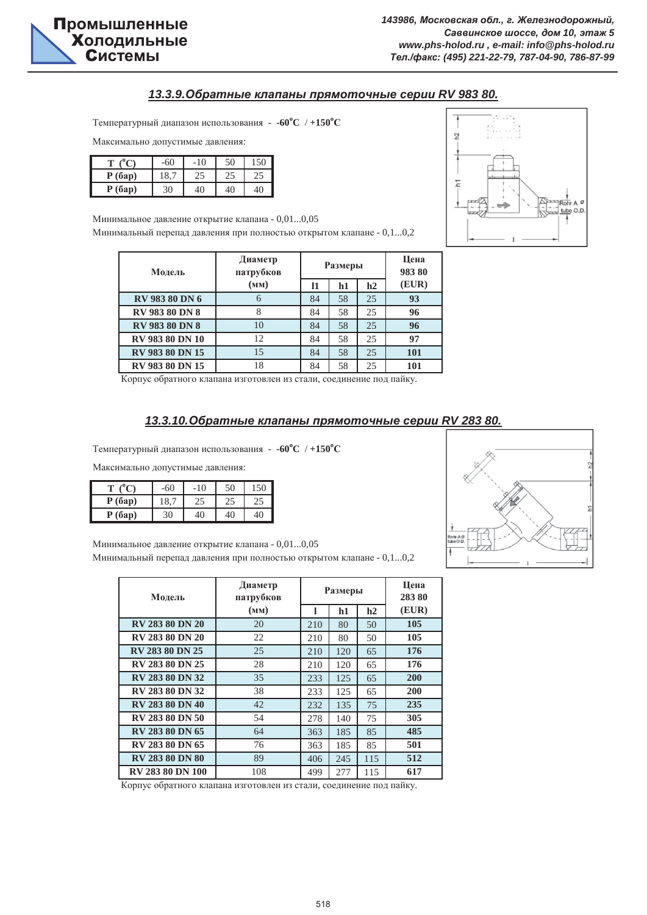

#### *13.3.9.Ɉɛɪɚɬɧɵɟ ɤɥɚɩɚɧɵ ɩɪɹɦɨɬɨɱɧɵɟ ɫɟɪɢɢ RV 983 80.*

Температурный диапазон использования -  $\text{-}60^{\circ}\text{C}$  /  $\text{+}150^{\circ}\text{C}$ 

Максимально допустимые давления:

|        | -60 | 10 | 50 |    |
|--------|-----|----|----|----|
| P(6ap) |     | 25 | 25 | 25 |
| P(6ap) | 30  | 40 | 40 | 40 |

Минимальный перепад давления при полностью открытом клапане - 0,1...0,2 Минимальное давление открытие клапана - 0,01...0,05

| Модель                 | Диаметр<br>патрубков |    | Размеры | Цена<br>98380 |       |
|------------------------|----------------------|----|---------|---------------|-------|
|                        | (MM)                 | 11 | h1      | h2            | (EUR) |
| <b>RV 983 80 DN 6</b>  | 6                    | 84 | 58      | 25            | 93    |
| <b>RV 983 80 DN 8</b>  | 8                    | 84 | 58      | 25            | 96    |
| <b>RV 983 80 DN 8</b>  | 10                   | 84 | 58      | 25            | 96    |
| <b>RV 983 80 DN 10</b> | 12                   | 84 | 58      | 25            | 97    |
| RV 983 80 DN 15        | 15                   | 84 | 58      | 25            | 101   |
| <b>RV 983 80 DN 15</b> | 18                   | 84 | 58      | 25            | 101   |

Корпус обратного клапана изготовлен из стали, соединение под пайку.

#### $13.3.10.$ Обратные клапаны прямоточные серии RV 283 80.

Температурный диапазон использования -  $\cdot 60^{\circ}$ С /  $+150^{\circ}$ С

Максимально допустимые давления:

| 0 <sub>0</sub> | -60 | 10 |    | 50 |
|----------------|-----|----|----|----|
| P(6ap)         | 18, | 42 | ۷. | 25 |
| P(6ap)         | 30  | 40 | 40 | 40 |

Минимальное давление открытие клапана - 0,01...0,05

Минимальный перепад давления при полностью открытом клапане - 0,1...0,2

| Модель                  | Диаметр<br>патрубков |     | Размеры | Цена<br>28380 |       |
|-------------------------|----------------------|-----|---------|---------------|-------|
|                         | (MM)                 |     | h1      | h2            | (EUR) |
| <b>RV 283 80 DN 20</b>  | 20                   | 210 | 80      | 50            | 105   |
| <b>RV 283 80 DN 20</b>  | 22                   | 210 | 80      | 50            | 105   |
| <b>RV 283 80 DN 25</b>  | 25                   | 210 | 120     | 65            | 176   |
| <b>RV 283 80 DN 25</b>  | 28                   | 210 | 120     | 65            | 176   |
| <b>RV 283 80 DN 32</b>  | 35                   | 233 | 125     | 65            | 200   |
| <b>RV 283 80 DN 32</b>  | 38                   | 233 | 125     | 65            | 200   |
| <b>RV 283 80 DN 40</b>  | 42                   | 232 | 135     | 75            | 235   |
| <b>RV 283 80 DN 50</b>  | 54                   | 278 | 140     | 75            | 305   |
| RV 283 80 DN 65         | 64                   | 363 | 185     | 85            | 485   |
| RV 283 80 DN 65         | 76                   | 363 | 185     | 85            | 501   |
| <b>RV 283 80 DN 80</b>  | 89                   | 406 | 245     | 115           | 512   |
| <b>RV 283 80 DN 100</b> | 108                  | 499 | 277     | 115           | 617   |

Корпус обратного клапана изготовлен из стали, соединение под пайку.